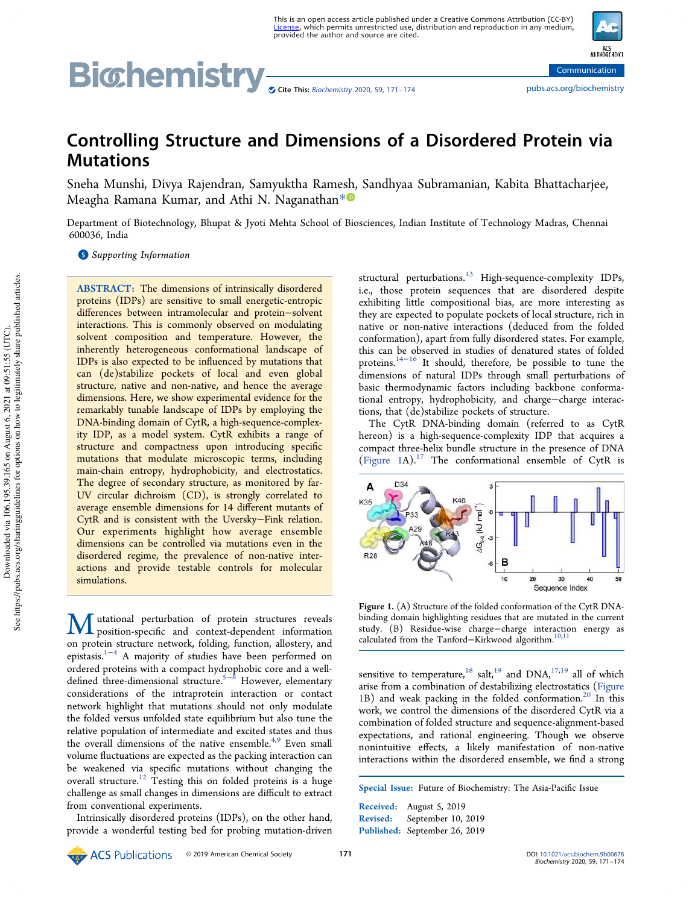# Bi©hemistry <sub>Scite This: Biochemistry 2020, 59, 171–174</sub> communication pubs.acs.org/biochemistry

# Controlling Structure and Dimensions of a Disordered Protein via **Mutations**

Sneha Munshi, Divya Rajendran, Samyuktha Ramesh, Sandhyaa Subramanian, Kabita Bhattacharjee, Meagha Ramana Kumar, and Athi N. Naganathan\*<sup>®</sup>

Department of Biotechnology, Bhupat & Jyoti Mehta School of Biosciences, Indian Institute of Technology Madras, Chennai 600036, India

**S** Supporting Information

ABSTRACT: The dimensions of intrinsically disordered proteins (IDPs) are sensitive to small energetic-entropic differences between intramolecular and protein−solvent interactions. This is commonly observed on modulating solvent composition and temperature. However, the inherently heterogeneous conformational landscape of IDPs is also expected to be influenced by mutations that can (de)stabilize pockets of local and even global structure, native and non-native, and hence the average dimensions. Here, we show experimental evidence for the remarkably tunable landscape of IDPs by employing the DNA-binding domain of CytR, a high-sequence-complexity IDP, as a model system. CytR exhibits a range of structure and compactness upon introducing specific mutations that modulate microscopic terms, including main-chain entropy, hydrophobicity, and electrostatics. The degree of secondary structure, as monitored by far-UV circular dichroism (CD), is strongly correlated to average ensemble dimensions for 14 different mutants of CytR and is consistent with the Uversky−Fink relation. Our experiments highlight how average ensemble dimensions can be controlled via mutations even in the disordered regime, the prevalence of non-native interactions and provide testable controls for molecular simulations.

Mutational perturbation of protein structures reveals<br>position-specific and context-dependent information on protein structure network, folding, function, allostery, and epistasis.1−<sup>4</sup> A majority of studies have been performed on ordered proteins with a compact hydrophobic core and a well-<br>defined three-dimensional structure.<sup>5−8</sup> However, elementary considerations of the intraprotein interaction or contact network highlight that mutations should not only modulate the folded versus unfolded state equilibrium but also tune the relative population of intermediate and excited states and thus the overall dimensions of the native ensemble.<sup>4,9</sup> Even small volume fluctuations are expected as the packing interaction can be weakened via specific mutations without changing the overall structure.<sup>12</sup> Testing this on folded proteins is a huge challenge as small changes in dimensions are difficult to extract from conventional experiments.

Intrinsically disordered proteins (IDPs), on the other hand, provide a wonderful testing bed for probing mutation-driven structural perturbations.<sup>13</sup> High-sequence-complexity IDPs, i.e., those protein sequences that are disordered despite exhibiting little compositional bias, are more interesting as they are expected to populate pockets of local structure, rich in native or non-native interactions (deduced from the folded conformation), apart from fully disordered states. For example, this can be observed in studies of denatured states of folded proteins.14−<sup>16</sup> It should, therefore, be possible to tune the dimensions of natural IDPs through small perturbations of basic thermodynamic factors including backbone conformational entropy, hydrophobicity, and charge−charge interactions, that (de)stabilize pockets of structure.

The CytR DNA-binding domain (referred to as CytR hereon) is a high-sequence-complexity IDP that acquires a compact three-helix bundle structure in the presence of DNA (Figure 1A).<sup>17</sup> The conformational ensemble of CytR is



Figure 1. (A) Structure of the folded conformation of the CytR DNAbinding domain highlighting residues that are mutated in the current study. (B) Residue-wise charge−charge interaction energy as calculated from the Tanford–Kirkwood algorithm.<sup>10,11</sup>

sensitive to temperature,  $18$  salt,  $19$  and DNA,  $17,19$  all of which arise from a combination of destabilizing electrostatics (Figure 1B) and weak packing in the folded conformation.<sup>20</sup> In this work, we control the dimensions of the disordered CytR via a combination of folded structure and sequence-alignment-based expectations, and rational engineering. Though we observe nonintuitive effects, a likely manifestation of non-native interactions within the disordered ensemble, we find a strong

Special Issue: Future of Biochemistry: The Asia-Pacific Issue

Received: August 5, 2019 Revised: September 10, 2019 Published: September 26, 2019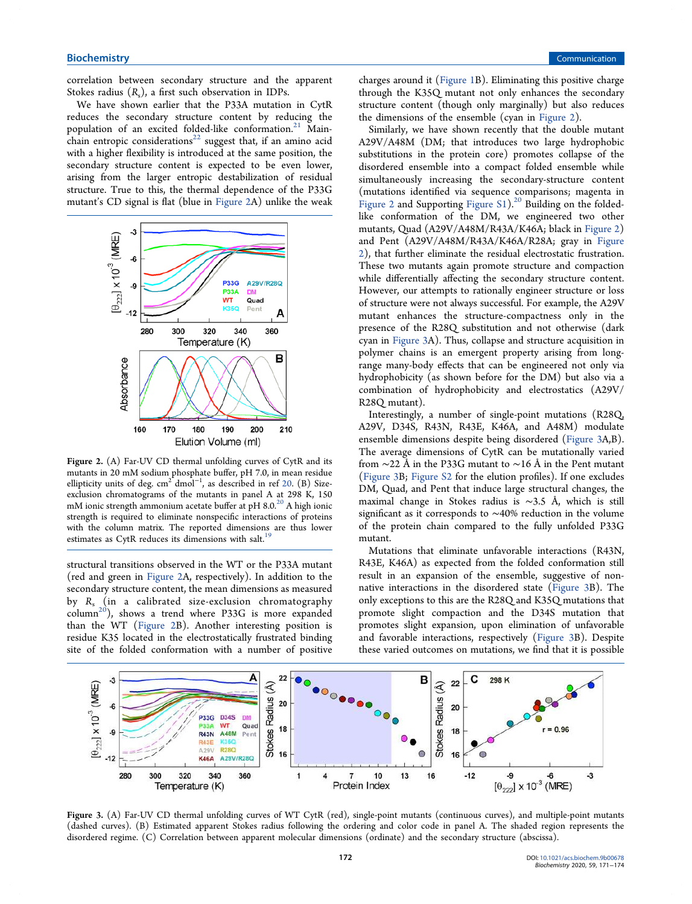correlation between secondary structure and the apparent Stokes radius  $(R_s)$ , a first such observation in IDPs.

We have shown earlier that the P33A mutation in CytR reduces the secondary structure content by reducing the population of an excited folded-like conformation.<sup>21</sup> Mainchain entropic considerations<sup>22</sup> suggest that, if an amino acid with a higher flexibility is introduced at the same position, the secondary structure content is expected to be even lower, arising from the larger entropic destabilization of residual structure. True to this, the thermal dependence of the P33G mutant's CD signal is flat (blue in Figure 2A) unlike the weak



Figure 2. (A) Far-UV CD thermal unfolding curves of CytR and its mutants in 20 mM sodium phosphate buffer, pH 7.0, in mean residue ellipticity units of deg.  $cm^2$  dmol<sup>-1</sup>, as described in ref 20. (B) Sizeexclusion chromatograms of the mutants in panel A at 298 K, 150 mM ionic strength ammonium acetate buffer at pH 8.0.<sup>20</sup> A high ionic strength is required to eliminate nonspecific interactions of proteins with the column matrix. The reported dimensions are thus lower estimates as CytR reduces its dimensions with salt.<sup>19</sup>

structural transitions observed in the WT or the P33A mutant (red and green in Figure 2A, respectively). In addition to the secondary structure content, the mean dimensions as measured by *R*<sup>s</sup> (in a calibrated size-exclusion chromatography  $\text{column}^{20}$ , shows a trend where P33G is more expanded than the WT (Figure 2B). Another interesting position is residue K35 located in the electrostatically frustrated binding site of the folded conformation with a number of positive charges around it (Figure 1B). Eliminating this positive charge through the K35Q mutant not only enhances the secondary structure content (though only marginally) but also reduces the dimensions of the ensemble (cyan in Figure 2).

Similarly, we have shown recently that the double mutant A29V/A48M (DM; that introduces two large hydrophobic substitutions in the protein core) promotes collapse of the disordered ensemble into a compact folded ensemble while simultaneously increasing the secondary-structure content (mutations identified via sequence comparisons; magenta in Figure 2 and Supporting Figure S1).<sup>20</sup> Building on the foldedlike conformation of the DM, we engineered two other mutants, Quad (A29V/A48M/R43A/K46A; black in Figure 2) and Pent (A29V/A48M/R43A/K46A/R28A; gray in Figure 2), that further eliminate the residual electrostatic frustration. These two mutants again promote structure and compaction while differentially affecting the secondary structure content. However, our attempts to rationally engineer structure or loss of structure were not always successful. For example, the A29V mutant enhances the structure-compactness only in the presence of the R28Q substitution and not otherwise (dark cyan in Figure 3A). Thus, collapse and structure acquisition in polymer chains is an emergent property arising from longrange many-body effects that can be engineered not only via hydrophobicity (as shown before for the DM) but also via a combination of hydrophobicity and electrostatics (A29V/ R28Q mutant).

Interestingly, a number of single-point mutations (R28Q, A29V, D34S, R43N, R43E, K46A, and A48M) modulate ensemble dimensions despite being disordered (Figure 3A,B). The average dimensions of CytR can be mutationally varied from ∼22 Å in the P33G mutant to ∼16 Å in the Pent mutant (Figure 3B; Figure S2 for the elution profiles). If one excludes DM, Quad, and Pent that induce large structural changes, the maximal change in Stokes radius is ∼3.5 Å, which is still significant as it corresponds to ∼40% reduction in the volume of the protein chain compared to the fully unfolded P33G mutant.

Mutations that eliminate unfavorable interactions (R43N, R43E, K46A) as expected from the folded conformation still result in an expansion of the ensemble, suggestive of nonnative interactions in the disordered state (Figure 3B). The only exceptions to this are the R28Q and K35Q mutations that promote slight compaction and the D34S mutation that promotes slight expansion, upon elimination of unfavorable and favorable interactions, respectively (Figure 3B). Despite these varied outcomes on mutations, we find that it is possible



Figure 3. (A) Far-UV CD thermal unfolding curves of WT CytR (red), single-point mutants (continuous curves), and multiple-point mutants (dashed curves). (B) Estimated apparent Stokes radius following the ordering and color code in panel A. The shaded region represents the disordered regime. (C) Correlation between apparent molecular dimensions (ordinate) and the secondary structure (abscissa).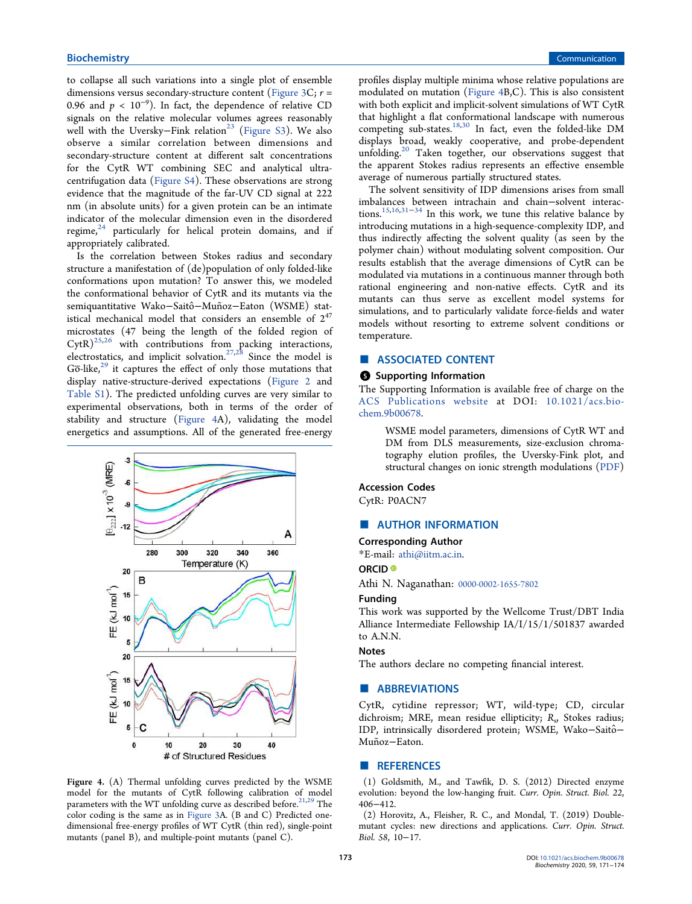to collapse all such variations into a single plot of ensemble dimensions versus secondary-structure content (Figure 3C; *r* = 0.96 and  $p < 10^{-9}$ ). In fact, the dependence of relative CD signals on the relative molecular volumes agrees reasonably well with the Uversky–Fink relation<sup>23</sup> (Figure S3). We also observe a similar correlation between dimensions and secondary-structure content at different salt concentrations for the CytR WT combining SEC and analytical ultracentrifugation data (Figure S4). These observations are strong evidence that the magnitude of the far-UV CD signal at 222 nm (in absolute units) for a given protein can be an intimate indicator of the molecular dimension even in the disordered regime, $24$  particularly for helical protein domains, and if appropriately calibrated.

Is the correlation between Stokes radius and secondary structure a manifestation of (de)population of only folded-like conformations upon mutation? To answer this, we modeled the conformational behavior of CytR and its mutants via the semiquantitative Wako-Saitô-Muñoz-Eaton (WSME) statistical mechanical model that considers an ensemble of  $2^{47}$ microstates (47 being the length of the folded region of  $CytR)^{25,26}$  with contributions from packing interactions, electrostatics, and implicit solvation.<sup>27,28</sup> Since the model is  $G\overline{o}$ -like, $29$  it captures the effect of only those mutations that display native-structure-derived expectations (Figure 2 and Table S1). The predicted unfolding curves are very similar to experimental observations, both in terms of the order of stability and structure (Figure 4A), validating the model energetics and assumptions. All of the generated free-energy



Figure 4. (A) Thermal unfolding curves predicted by the WSME model for the mutants of CytR following calibration of model parameters with the WT unfolding curve as described before.<sup>21,29</sup> The color coding is the same as in Figure 3A. (B and C) Predicted onedimensional free-energy profiles of WT CytR (thin red), single-point mutants (panel B), and multiple-point mutants (panel C).

profiles display multiple minima whose relative populations are modulated on mutation (Figure 4B,C). This is also consistent with both explicit and implicit-solvent simulations of WT CytR that highlight a flat conformational landscape with numerous competing sub-states.<sup>18,30</sup> In fact, even the folded-like DM displays broad, weakly cooperative, and probe-dependent unfolding.<sup>20</sup> Taken together, our observations suggest that the apparent Stokes radius represents an effective ensemble average of numerous partially structured states.

The solvent sensitivity of IDP dimensions arises from small imbalances between intrachain and chain−solvent interac- $\frac{15,16,31-34}{1}$  In this work, we tune this relative balance by introducing mutations in a high-sequence-complexity IDP, and thus indirectly affecting the solvent quality (as seen by the polymer chain) without modulating solvent composition. Our results establish that the average dimensions of CytR can be modulated via mutations in a continuous manner through both rational engineering and non-native effects. CytR and its mutants can thus serve as excellent model systems for simulations, and to particularly validate force-fields and water models without resorting to extreme solvent conditions or temperature.

## ■ ASSOCIATED CONTENT

#### **S** Supporting Information

The Supporting Information is available free of charge on the ACS Publications website at DOI: 10.1021/acs.biochem.9b00678.

> WSME model parameters, dimensions of CytR WT and DM from DLS measurements, size-exclusion chromatography elution profiles, the Uversky-Fink plot, and structural changes on ionic strength modulations (PDF)

## Accession Codes

CytR: P0ACN7

#### ■ AUTHOR INFORMATION

#### Corresponding Author

\*E-mail: athi@iitm.ac.in.

#### ORCID<sup>®</sup>

Athi N. Naganathan: 0000-0002-1655-7802

#### Funding

This work was supported by the Wellcome Trust/DBT India Alliance Intermediate Fellowship IA/I/15/1/501837 awarded to A.N.N.

#### **Notes**

The authors declare no competing financial interest.

#### ■ ABBREVIATIONS

CytR, cytidine repressor; WT, wild-type; CD, circular dichroism; MRE, mean residue ellipticity; R<sub>s</sub>, Stokes radius; IDP, intrinsically disordered protein; WSME, Wako−Saitô− Muñoz−Eaton.

#### ■ REFERENCES

(1) Goldsmith, M., and Tawfik, D. S. (2012) Directed enzyme evolution: beyond the low-hanging fruit. *Curr. Opin. Struct. Biol. 22*, 406−412.

(2) Horovitz, A., Fleisher, R. C., and Mondal, T. (2019) Doublemutant cycles: new directions and applications. *Curr. Opin. Struct. Biol. 58*, 10−17.